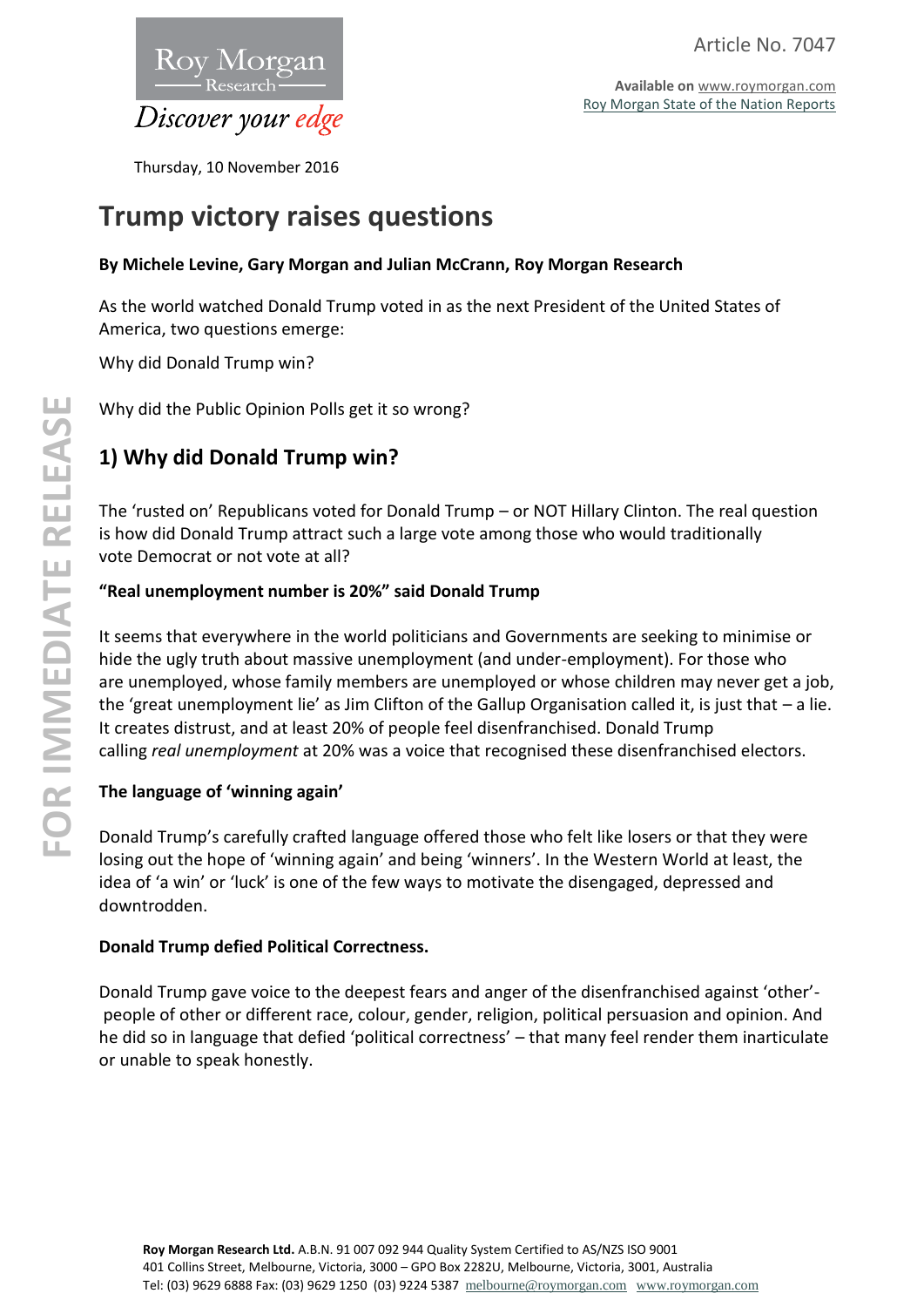

**Available on** [www.roymorgan.com](http://www.roymorgan.com/) [Roy Morgan State of the Nation Reports](http://www.roymorganonlinestore.com/Browse/Australia/State-of-the-Nation.aspx)

Thursday, 10 November 2016

# **Trump victory raises questions**

### **By Michele Levine, Gary Morgan and Julian McCrann, Roy Morgan Research**

As the world watched Donald Trump voted in as the next President of the United States of America, two questions emerge:

Why did Donald Trump win?

Why did the Public Opinion Polls get it so wrong?

# **1) Why did Donald Trump win?**

The 'rusted on' Republicans voted for Donald Trump – or NOT Hillary Clinton. The real question is how did Donald Trump attract such a large vote among those who would traditionally vote Democrat or not vote at all?

### **"Real unemployment number is 20%" said Donald Trump**

It seems that everywhere in the world politicians and Governments are seeking to minimise or hide the ugly truth about massive unemployment (and under-employment). For those who are unemployed, whose family members are unemployed or whose children may never get a job, the 'great unemployment lie' as Jim Clifton of the Gallup Organisation called it, is just that – a lie. It creates distrust, and at least 20% of people feel disenfranchised. Donald Trump calling *real unemployment* at 20% was a voice that recognised these disenfranchised electors.

#### **The language of 'winning again'**

Donald Trump's carefully crafted language offered those who felt like losers or that they were losing out the hope of 'winning again' and being 'winners'. In the Western World at least, the idea of 'a win' or 'luck' is one of the few ways to motivate the disengaged, depressed and downtrodden.

#### **Donald Trump defied Political Correctness.**

Donald Trump gave voice to the deepest fears and anger of the disenfranchised against 'other' people of other or different race, colour, gender, religion, political persuasion and opinion. And he did so in language that defied 'political correctness' – that many feel render them inarticulate or unable to speak honestly.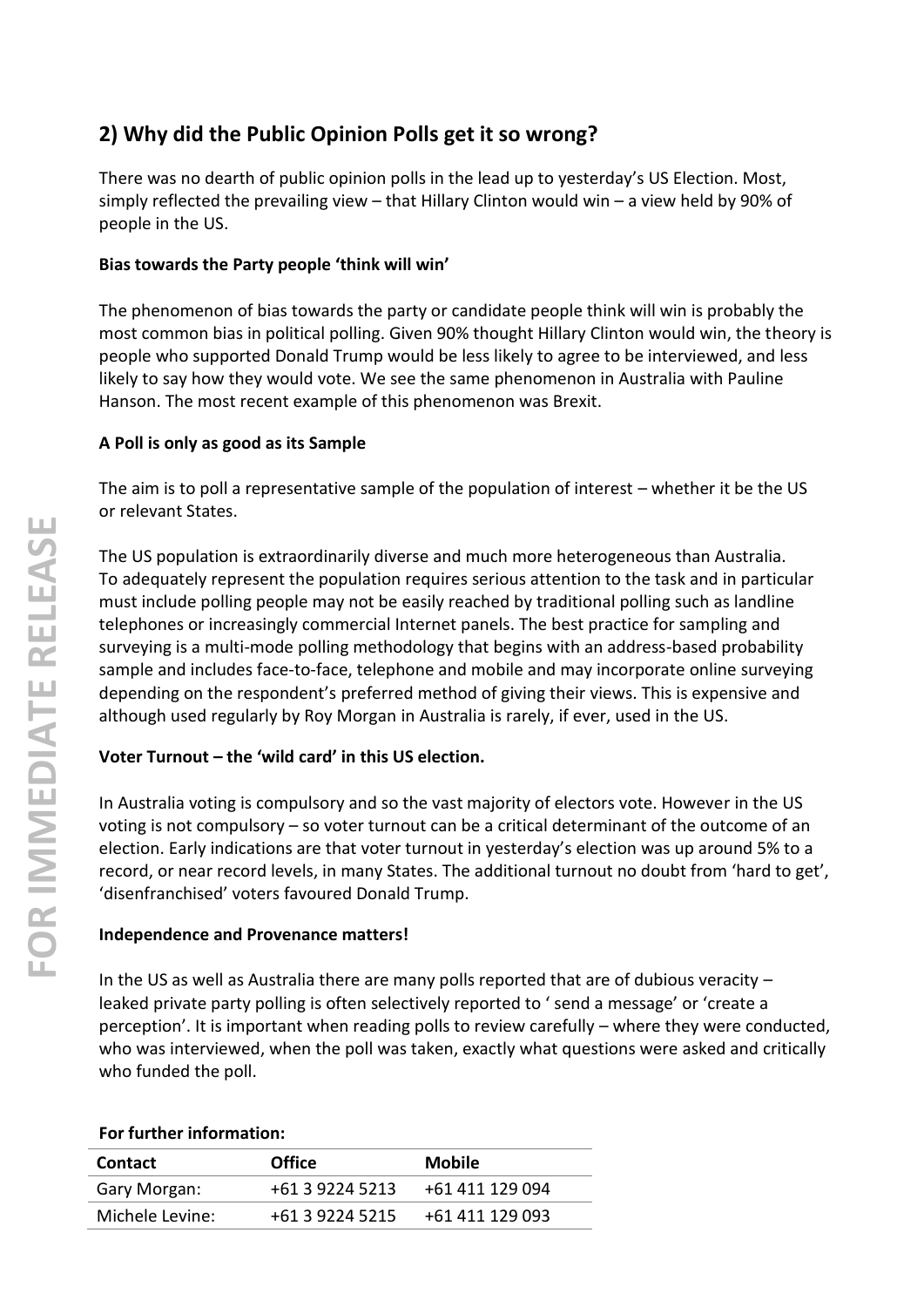# **2) Why did the Public Opinion Polls get it so wrong?**

There was no dearth of public opinion polls in the lead up to yesterday's US Election. Most, simply reflected the prevailing view – that Hillary Clinton would win – a view held by 90% of people in the US.

#### **Bias towards the Party people 'think will win'**

The phenomenon of bias towards the party or candidate people think will win is probably the most common bias in political polling. Given 90% thought Hillary Clinton would win, the theory is people who supported Donald Trump would be less likely to agree to be interviewed, and less likely to say how they would vote. We see the same phenomenon in Australia with Pauline Hanson. The most recent example of this phenomenon was Brexit.

### **A Poll is only as good as its Sample**

The aim is to poll a representative sample of the population of interest – whether it be the US or relevant States.

The US population is extraordinarily diverse and much more heterogeneous than Australia. To adequately represent the population requires serious attention to the task and in particular must include polling people may not be easily reached by traditional polling such as landline telephones or increasingly commercial Internet panels. The best practice for sampling and surveying is a multi -mode polling methodology that begins with an address -based probability sample and includes face-to-face, telephone and mobile and may incorporate online surveying depending on the respondent's preferred method of giving their views. This is expensive and although used regularly by Roy Morgan in Australia is rarely, if ever, used in the US.

## **Voter Turnout – the 'wild card' in this US election.**

In Australia voting is compulsory and so the vast majority of electors vote. However in the US voting is not compulsory - so voter turnout can be a critical determinant of the outcome of an election. Early indications are that voter turnout in yesterday's election was up around 5% to a record, or near record levels, in many States. The additional turnout no doubt from 'hard to get', 'disenfranchised' voters favoured Donald Trump.

#### **Independence and Provenance matters!**

In the US as well as Australia there are many polls reported that are of dubious veracity – leaked private party polling is often selectively reported to ' send a message' or 'create a perception'. It is important when reading polls to review carefully – where they were conducted, who was interviewed, when the poll was taken, exactly what questions were asked and critically who funded the poll.

#### **For further information:**

| <b>Contact</b>  | <b>Office</b>   | <b>Mobile</b>   |
|-----------------|-----------------|-----------------|
| Gary Morgan:    | +61 3 9224 5213 | +61 411 129 094 |
| Michele Levine: | +61 3 9224 5215 | +61 411 129 093 |